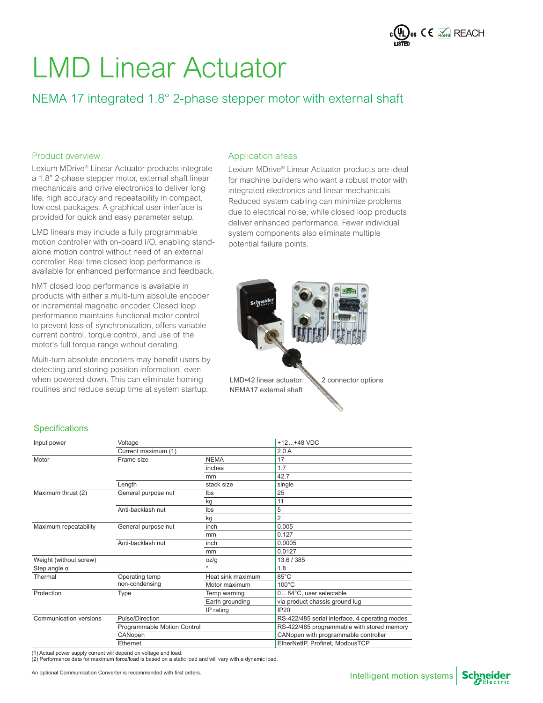

### NEMA 17 integrated 1.8° 2-phase stepper motor with external shaft

#### Product overview

Lexium MDrive® Linear Actuator products integrate a 1.8° 2-phase stepper motor, external shaft linear mechanicals and drive electronics to deliver long life, high accuracy and repeatability in compact, low cost packages. A graphical user interface is provided for quick and easy parameter setup.

LMD linears may include a fully programmable motion controller with on-board I/O, enabling standalone motion control without need of an external controller. Real time closed loop performance is available for enhanced performance and feedback.

hMT closed loop performance is available in products with either a multi-turn absolute encoder or incremental magnetic encoder. Closed loop performance maintains functional motor control to prevent loss of synchronization, offers variable current control, torque control, and use of the motor's full torque range without derating.

Multi-turn absolute encoders may benefit users by detecting and storing position information, even when powered down. This can eliminate homing routines and reduce setup time at system startup.

#### Application areas

Lexium MDrive® Linear Actuator products are ideal for machine builders who want a robust motor with integrated electronics and linear mechanicals. Reduced system cabling can minimize problems due to electrical noise, while closed loop products deliver enhanced performance. Fewer individual system components also eliminate multiple potential failure points.



#### **Specifications**

| Input power            | Voltage                     |                   | $+12+48$ VDC                                   |  |  |
|------------------------|-----------------------------|-------------------|------------------------------------------------|--|--|
|                        | Current maximum (1)         |                   | 2.0A                                           |  |  |
| Motor                  | Frame size                  | <b>NEMA</b>       | 17                                             |  |  |
|                        |                             | inches            | 1.7                                            |  |  |
|                        |                             | mm                | 42.7                                           |  |  |
|                        | Length                      | stack size        | single                                         |  |  |
| Maximum thrust (2)     | General purpose nut         | Ibs               | 25                                             |  |  |
|                        |                             | kg                | 11                                             |  |  |
|                        | Anti-backlash nut           | Ibs               | 5                                              |  |  |
|                        |                             | kg                | $\overline{2}$                                 |  |  |
| Maximum repeatability  | General purpose nut         | inch              | 0.005                                          |  |  |
|                        |                             | mm                | 0.127                                          |  |  |
|                        | Anti-backlash nut           | inch              | 0.0005                                         |  |  |
|                        |                             | mm                | 0.0127                                         |  |  |
| Weight (without screw) |                             | oz/g              | 13.6 / 385                                     |  |  |
| Step angle $\alpha$    |                             | $\circ$           | 1.8                                            |  |  |
| Thermal                | Operating temp              | Heat sink maximum | 85°C                                           |  |  |
|                        | non-condensing              | Motor maximum     | $100^{\circ}$ C                                |  |  |
| Protection             | Type                        | Temp warning      | 084°C, user selectable                         |  |  |
|                        |                             | Earth grounding   | via product chassis ground lug                 |  |  |
|                        |                             | IP rating         | <b>IP20</b>                                    |  |  |
| Communication versions | Pulse/Direction             |                   | RS-422/485 serial interface, 4 operating modes |  |  |
|                        | Programmable Motion Control |                   | RS-422/485 programmable with stored memory     |  |  |
|                        | CANopen                     |                   | CANopen with programmable controller           |  |  |
|                        | Ethernet                    |                   | EtherNetIP, Profinet, ModbusTCP                |  |  |

(1) Actual power supply current will depend on voltage and load. (2) Performance data for maximum force/load is based on a static load and will vary with a dynamic load.

An optional Communication Converter is recommended with first orders.

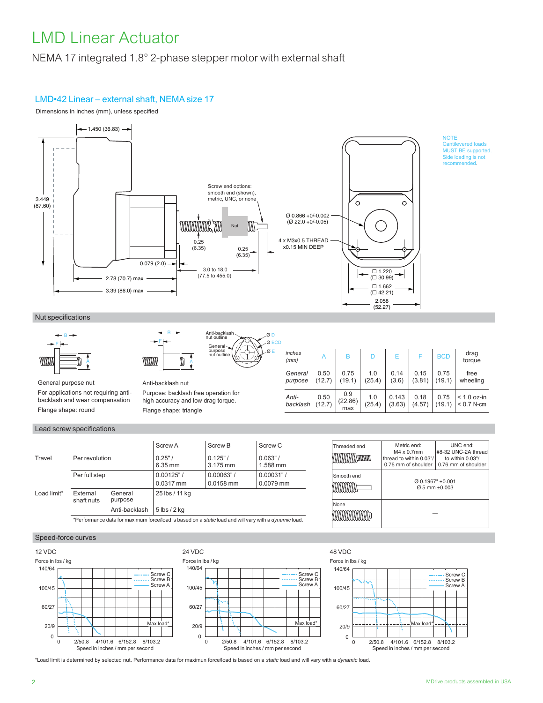NEMA 17 integrated 1.8° 2-phase stepper motor with external shaft

### LMD•42 Linear – external shaft, NEMA size 17

Dimensions in inches (mm), unless specified



Ø D  $\alpha$  E  $\overline{\mathcal{O}}$  B

Anti-backlash nut outline General purpose nut outline

#### Nut specifications



General purpose nut For applications not requiring anti-

backlash and wear compensation Flange shape: round

#### Lead screw specifications

|                                                                                                       |                                              |                            | Screw A               | Screw <sub>B</sub>     | Screw C               |
|-------------------------------------------------------------------------------------------------------|----------------------------------------------|----------------------------|-----------------------|------------------------|-----------------------|
| Travel<br>Per revolution                                                                              |                                              | 0.25"<br>$6.35 \text{ mm}$ | 0.125"<br>3.175 mm    | $0.063"$ /<br>1.588 mm |                       |
|                                                                                                       | Per full step                                |                            | 0.00125"<br>0.0317 mm | 0.00063"<br>0.0158 mm  | 0.00031"<br>0.0079 mm |
| Load limit*                                                                                           | External<br>General<br>purpose<br>shaft nuts |                            | 25 lbs / 11 kg        |                        |                       |
|                                                                                                       |                                              | Anti-backlash              | $5$ lbs $/$ 2 kg      |                        |                       |
| *Performance data for maximum force/load is based on a static load and will vary with a dynamic load. |                                              |                            |                       |                        |                       |

Anti-backlash nut

mm

B F

Flange shape: triangle

Purpose: backlash free operation for high accuracy and low drag torque.

A

| inches<br>(mm)     | A              | В                     | D             | F               |                | <b>BCD</b>     | drag<br>torque                |
|--------------------|----------------|-----------------------|---------------|-----------------|----------------|----------------|-------------------------------|
| General<br>purpose | 0.50<br>(12.7) | 0.75<br>(19.1)        | 1.0<br>(25.4) | 0.14<br>(3.6)   | 0.15<br>(3.81) | 0.75<br>(19.1) | free<br>wheeling              |
| Anti-<br>backlash  | 0.50<br>(12.7) | 0.9<br>(22.86)<br>max | 1.0<br>(25.4) | 0.143<br>(3.63) | 0.18<br>(4.57) | 0.75<br>(19.1) | $< 1.0$ oz-in<br>$< 0.7$ N-cm |

| Threaded end | Metric end:<br>$M4 \times 0.7$ mm<br>thread to within 0.03"/<br>0.76 mm of shoulder | UNC end:<br>#8-32 UNC-2A thread<br>to within 0.03"/<br>0.76 mm of shoulder |
|--------------|-------------------------------------------------------------------------------------|----------------------------------------------------------------------------|
| Smooth end   | $@$ 0.1967" +0.001<br>$\varnothing$ 5 mm +0.003                                     |                                                                            |
| None         |                                                                                     |                                                                            |







\*Load limit is determined by selected nut. Performance data for maximun force/load is based on a *static* load and will vary with a *dynamic* load.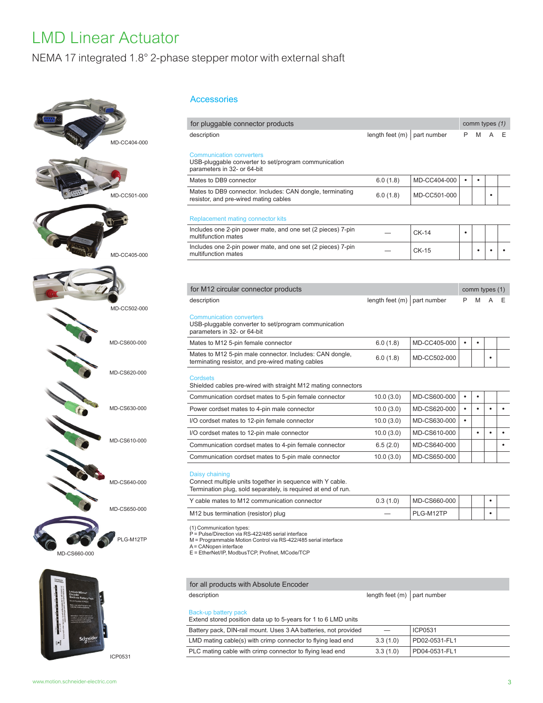### NEMA 17 integrated 1.8° 2-phase stepper motor with external shaft





ICP0531

#### Accessories

| for pluggable connector products                                                                                                                                                                                                                                                                                                                                                                                                                                                                                                                               |                               |                              |           | comm types (1) |           |   |
|----------------------------------------------------------------------------------------------------------------------------------------------------------------------------------------------------------------------------------------------------------------------------------------------------------------------------------------------------------------------------------------------------------------------------------------------------------------------------------------------------------------------------------------------------------------|-------------------------------|------------------------------|-----------|----------------|-----------|---|
| description                                                                                                                                                                                                                                                                                                                                                                                                                                                                                                                                                    | length feet $(m)$             | part number                  | P         | M              |           | Е |
| <b>Communication converters</b><br>USB-pluggable converter to set/program communication<br>parameters in 32- or 64-bit                                                                                                                                                                                                                                                                                                                                                                                                                                         |                               |                              |           |                |           |   |
| Mates to DB9 connector                                                                                                                                                                                                                                                                                                                                                                                                                                                                                                                                         | 6.0(1.8)                      | MD-CC404-000                 | $\bullet$ | $\bullet$      |           |   |
| Mates to DB9 connector. Includes: CAN dongle, terminating<br>resistor, and pre-wired mating cables                                                                                                                                                                                                                                                                                                                                                                                                                                                             | 6.0(1.8)                      | MD-CC501-000                 |           |                |           |   |
| Replacement mating connector kits                                                                                                                                                                                                                                                                                                                                                                                                                                                                                                                              |                               |                              |           |                |           |   |
| Includes one 2-pin power mate, and one set (2 pieces) 7-pin<br>multifunction mates                                                                                                                                                                                                                                                                                                                                                                                                                                                                             |                               | $CK-14$                      | $\bullet$ |                |           |   |
| Includes one 2-pin power mate, and one set (2 pieces) 7-pin<br>multifunction mates                                                                                                                                                                                                                                                                                                                                                                                                                                                                             |                               | <b>CK-15</b>                 |           | $\bullet$      |           |   |
|                                                                                                                                                                                                                                                                                                                                                                                                                                                                                                                                                                |                               |                              |           |                |           |   |
| for M12 circular connector products                                                                                                                                                                                                                                                                                                                                                                                                                                                                                                                            | length feet $(m)$ part number |                              | P         | comm types (1) |           |   |
| <b>Communication converters</b>                                                                                                                                                                                                                                                                                                                                                                                                                                                                                                                                |                               |                              |           |                |           |   |
| USB-pluggable converter to set/program communication<br>parameters in 32- or 64-bit                                                                                                                                                                                                                                                                                                                                                                                                                                                                            |                               |                              |           |                |           |   |
|                                                                                                                                                                                                                                                                                                                                                                                                                                                                                                                                                                | 6.0(1.8)<br>6.0(1.8)          | MD-CC405-000<br>MD-CC502-000 | $\bullet$ |                |           |   |
|                                                                                                                                                                                                                                                                                                                                                                                                                                                                                                                                                                |                               |                              |           |                |           |   |
|                                                                                                                                                                                                                                                                                                                                                                                                                                                                                                                                                                | 10.0(3.0)                     | MD-CS600-000                 | $\bullet$ | ٠              |           |   |
|                                                                                                                                                                                                                                                                                                                                                                                                                                                                                                                                                                | 10.0(3.0)                     | MD-CS620-000                 | $\bullet$ | $\bullet$      | $\bullet$ |   |
|                                                                                                                                                                                                                                                                                                                                                                                                                                                                                                                                                                | 10.0(3.0)                     | MD-CS630-000                 | $\bullet$ |                |           |   |
|                                                                                                                                                                                                                                                                                                                                                                                                                                                                                                                                                                | 10.0(3.0)                     | MD-CS610-000                 |           | $\bullet$      | $\bullet$ |   |
|                                                                                                                                                                                                                                                                                                                                                                                                                                                                                                                                                                | 6.5(2.0)                      | MD-CS640-000                 |           |                |           |   |
| Mates to M12 5-pin female connector<br>Mates to M12 5-pin male connector. Includes: CAN dongle,<br>terminating resistor, and pre-wired mating cables<br><b>Cordsets</b><br>Shielded cables pre-wired with straight M12 mating connectors<br>Communication cordset mates to 5-pin female connector<br>Power cordset mates to 4-pin male connector<br>I/O cordset mates to 12-pin female connector<br>I/O cordset mates to 12-pin male connector<br>Communication cordset mates to 4-pin female connector<br>Communication cordset mates to 5-pin male connector | 10.0(3.0)                     | MD-CS650-000                 |           |                |           |   |
| Daisy chaining<br>Connect multiple units together in sequence with Y cable.<br>Termination plug, sold separately, is required at end of run.                                                                                                                                                                                                                                                                                                                                                                                                                   |                               |                              |           |                |           |   |
| Y cable mates to M12 communication connector                                                                                                                                                                                                                                                                                                                                                                                                                                                                                                                   | 0.3(1.0)                      | MD-CS660-000                 |           |                |           |   |

(1) Communication types:<br>P = Pulse/Direction via RS-422/485 serial interface<br>M = Programmable Motion Control via RS-422/485 serial interface<br>A = CANopen interface<br>E = EtherNet/IP, ModbusTCP, Profinet, MCode/TCP<br>E = EtherNe

for all products with Absolute Encoder

| description                                                                            | length feet $(m)$ part number |               |
|----------------------------------------------------------------------------------------|-------------------------------|---------------|
| Back-up battery pack<br>Extend stored position data up to 5-years for 1 to 6 LMD units |                               |               |
| Battery pack, DIN-rail mount. Uses 3 AA batteries, not provided                        |                               | ICP0531       |
| LMD mating cable(s) with crimp connector to flying lead end                            | 3.3(1.0)                      | PD02-0531-FL1 |
| PLC mating cable with crimp connector to flying lead end                               | 3.3(1.0)                      | PD04-0531-FL1 |